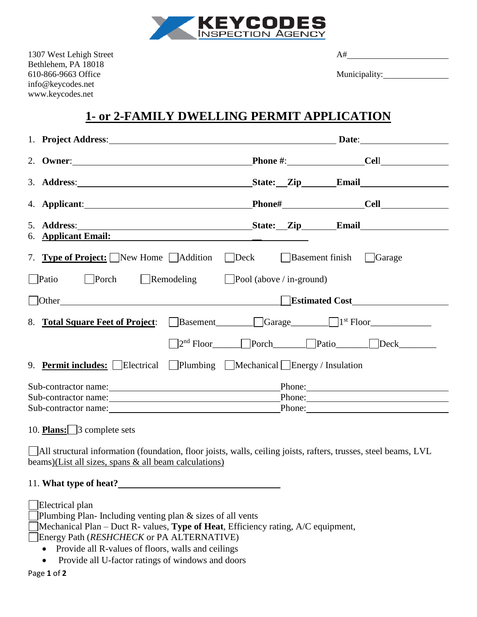

1307 West Lehigh Street A# Bethlehem, PA 18018 610-866-9663 Office Municipality: info@keycodes.net www.keycodes.net

## **1- or 2-FAMILY DWELLING PERMIT APPLICATION**

|                                                                             | 1. Project Address: Date: Date:                                                                                                                                                                                                |                                       |             |
|-----------------------------------------------------------------------------|--------------------------------------------------------------------------------------------------------------------------------------------------------------------------------------------------------------------------------|---------------------------------------|-------------|
|                                                                             |                                                                                                                                                                                                                                | $\textbf{Phone} \#$ : $\textbf{Cell}$ |             |
|                                                                             |                                                                                                                                                                                                                                |                                       |             |
|                                                                             |                                                                                                                                                                                                                                |                                       |             |
|                                                                             |                                                                                                                                                                                                                                |                                       |             |
|                                                                             | 6. Applicant Email: the contract of the contract of the contract of the contract of the contract of the contract of the contract of the contract of the contract of the contract of the contract of the contract of the contra |                                       |             |
|                                                                             | 7. <b>Type of Project:</b> New Home Addition Deck Basement finish Garage                                                                                                                                                       |                                       |             |
| $\Box$ Patio $\Box$ Porch $\Box$ Remodeling $\Box$ Pool (above / in-ground) |                                                                                                                                                                                                                                |                                       |             |
|                                                                             | Lettimated Cost Lettimated Cost Lettimated Cost Lettimated Cost Lettimated Cost Lettimated Cost Lettimated Cost                                                                                                                |                                       |             |
|                                                                             | 8. Total Square Feet of Project: Basement<br>Basement<br>Garage<br>Strange<br>1 <sup>st</sup> Floor                                                                                                                            |                                       |             |
|                                                                             |                                                                                                                                                                                                                                | □ Porch Porch Patio Deck              |             |
|                                                                             | 9. <b>Permit includes:</b> Electrical Plumbing Mechanical Energy / Insulation                                                                                                                                                  |                                       |             |
|                                                                             |                                                                                                                                                                                                                                |                                       | Phone:      |
|                                                                             |                                                                                                                                                                                                                                |                                       | Phone:      |
|                                                                             |                                                                                                                                                                                                                                |                                       | Phone: 2008 |

10. **Plans:** 3 complete sets

All structural information (foundation, floor joists, walls, ceiling joists, rafters, trusses, steel beams, LVL beams)(List all sizes, spans & all beam calculations)

## 11. **What type of heat?**

Electrical plan Plumbing Plan- Including venting plan & sizes of all vents Mechanical Plan – Duct R- values, **Type of Heat**, Efficiency rating, A/C equipment, Energy Path (*RESHCHECK* or PA ALTERNATIVE) • Provide all R-values of floors, walls and ceilings • Provide all U-factor ratings of windows and doors